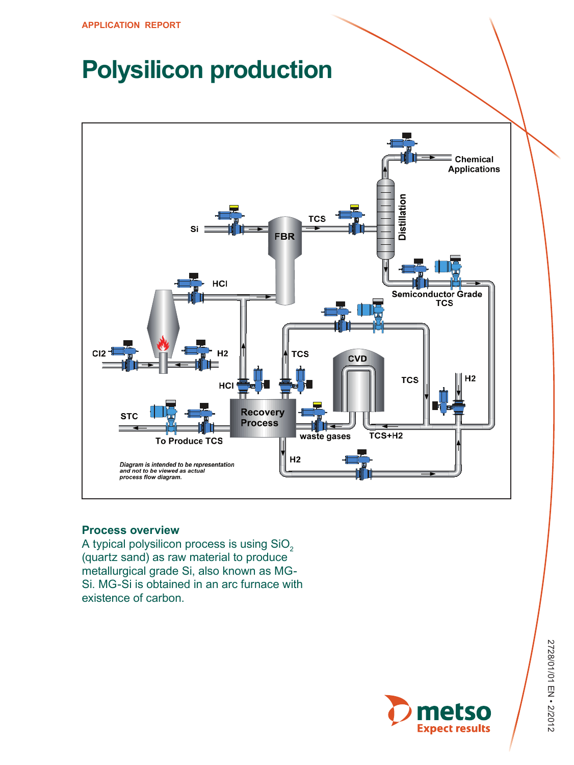# **Polysilicon production**



## **Process overview**

A typical polysilicon process is using SiO<sub>2</sub> (quartz sand) as raw material to produce metallurgical grade Si, also known as MG-Si. MG-Si is obtained in an arc furnace with existence of carbon.

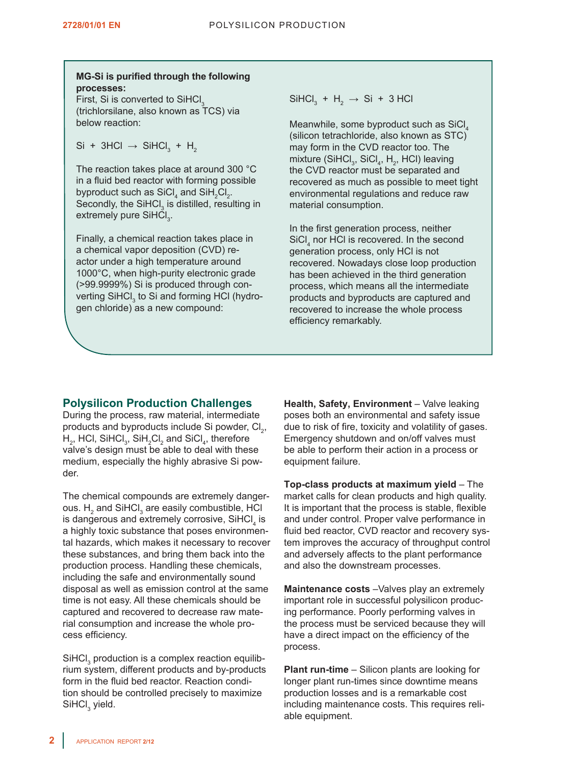## **MG-Si is purified through the following processes:**

First, Si is converted to SiHCl<sub>3</sub> (trichlorsilane, also known as TCS) via below reaction:

Si + 3HCl  $\rightarrow$  SiHCl<sub>3</sub> + H<sub>2</sub>

The reaction takes place at around 300 °C in a fluid bed reactor with forming possible byproduct such as  $\text{SiCl}_4$  and  $\text{SiH}_2\text{Cl}_2$ . Secondly, the SiHCl $_3$  is distilled, resulting in extremely pure SiHCl<sub>3</sub>.

Finally, a chemical reaction takes place in a chemical vapor deposition (CVD) reactor under a high temperature around 1000°C, when high-purity electronic grade (>99.9999%) Si is produced through converting SiHCl $_3$  to Si and forming HCl (hydrogen chloride) as a new compound:

 $\text{SiHCI}_3 + \text{H}_2 \rightarrow \text{Si} + 3 \text{ HCl}$ 

Meanwhile, some byproduct such as SiCl 4 (silicon tetrachloride, also known as STC) may form in the CVD reactor too. The mixture (SiHCl<sub>3</sub>, SiCl<sub>4</sub>, H<sub>2</sub>, HCl) leaving the CVD reactor must be separated and recovered as much as possible to meet tight environmental regulations and reduce raw material consumption.

In the first generation process, neither SiCl 4 nor HCl is recovered. In the second generation process, only HCl is not recovered. Nowadays close loop production has been achieved in the third generation process, which means all the intermediate products and byproducts are captured and recovered to increase the whole process efficiency remarkably.

## **Polysilicon Production Challenges**

During the process, raw material, intermediate products and byproducts include Si powder, Cl<sub>2</sub>,  $H_2$ , HCl, SiHCl<sub>3</sub>, SiH<sub>2</sub>Cl<sub>2</sub> and SiCl<sub>4</sub>, therefore valve's design must be able to deal with these medium, especially the highly abrasive Si powder.

The chemical compounds are extremely dangerous.  $H_2$  and SiHCl<sub>3</sub> are easily combustible, HCl is dangerous and extremely corrosive, SiHCl $_4$  is a highly toxic substance that poses environmental hazards, which makes it necessary to recover these substances, and bring them back into the production process. Handling these chemicals, including the safe and environmentally sound disposal as well as emission control at the same time is not easy. All these chemicals should be captured and recovered to decrease raw material consumption and increase the whole process efficiency.

 $\text{SiHCl}_3$  production is a complex reaction equilibrium system, different products and by-products form in the fluid bed reactor. Reaction condition should be controlled precisely to maximize  $\mathsf{SiHCl}_3$  yield.

**Health, Safety, Environment** – Valve leaking poses both an environmental and safety issue due to risk of fire, toxicity and volatility of gases. Emergency shutdown and on/off valves must be able to perform their action in a process or equipment failure.

**Top-class products at maximum yield** – The market calls for clean products and high quality. It is important that the process is stable, flexible and under control. Proper valve performance in fluid bed reactor, CVD reactor and recovery system improves the accuracy of throughput control and adversely affects to the plant performance and also the downstream processes.

**Maintenance costs** –Valves play an extremely important role in successful polysilicon producing performance. Poorly performing valves in the process must be serviced because they will have a direct impact on the efficiency of the process.

**Plant run-time** – Silicon plants are looking for longer plant run-times since downtime means production losses and is a remarkable cost including maintenance costs. This requires reliable equipment.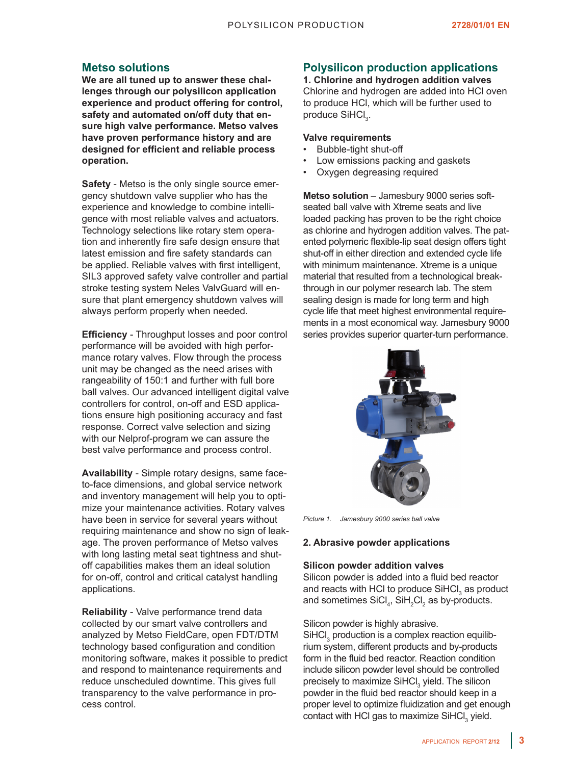## **Metso solutions**

**We are all tuned up to answer these challenges through our polysilicon application experience and product offering for control, safety and automated on/off duty that ensure high valve performance. Metso valves have proven performance history and are designed for efficient and reliable process operation.**

**Safety** - Metso is the only single source emergency shutdown valve supplier who has the experience and knowledge to combine intelligence with most reliable valves and actuators. Technology selections like rotary stem operation and inherently fire safe design ensure that latest emission and fire safety standards can be applied. Reliable valves with first intelligent, SIL3 approved safety valve controller and partial stroke testing system Neles ValvGuard will ensure that plant emergency shutdown valves will always perform properly when needed.

**Efficiency** - Throughput losses and poor control performance will be avoided with high performance rotary valves. Flow through the process unit may be changed as the need arises with rangeability of 150:1 and further with full bore ball valves. Our advanced intelligent digital valve controllers for control, on-off and ESD applications ensure high positioning accuracy and fast response. Correct valve selection and sizing with our Nelprof-program we can assure the best valve performance and process control.

**Availability** - Simple rotary designs, same faceto-face dimensions, and global service network and inventory management will help you to optimize your maintenance activities. Rotary valves have been in service for several years without requiring maintenance and show no sign of leakage. The proven performance of Metso valves with long lasting metal seat tightness and shutoff capabilities makes them an ideal solution for on-off, control and critical catalyst handling applications.

**Reliability** - Valve performance trend data collected by our smart valve controllers and analyzed by Metso FieldCare, open FDT/DTM technology based configuration and condition monitoring software, makes it possible to predict and respond to maintenance requirements and reduce unscheduled downtime. This gives full transparency to the valve performance in process control.

## **Polysilicon production applications**

**1. Chlorine and hydrogen addition valves** Chlorine and hydrogen are added into HCl oven to produce HCl, which will be further used to produce SiHCl<sub>3</sub>.

### **Valve requirements**

- Bubble-tight shut-off
- Low emissions packing and gaskets
- Oxygen degreasing required

**Metso solution** – Jamesbury 9000 series softseated ball valve with Xtreme seats and live loaded packing has proven to be the right choice as chlorine and hydrogen addition valves. The patented polymeric flexible-lip seat design offers tight shut-off in either direction and extended cycle life with minimum maintenance. Xtreme is a unique material that resulted from a technological breakthrough in our polymer research lab. The stem sealing design is made for long term and high cycle life that meet highest environmental requirements in a most economical way. Jamesbury 9000 series provides superior quarter-turn performance.



*Picture 1. Jamesbury 9000 series ball valve*

#### **2. Abrasive powder applications**

#### **Silicon powder addition valves**

Silicon powder is added into a fluid bed reactor and reacts with HCI to produce SiHCI<sub>3</sub> as product and sometimes  $\text{SiCl}_4$ ,  $\text{SiH}_2\text{Cl}_2$  as by-products.

Silicon powder is highly abrasive.

SiHCI<sub>3</sub> production is a complex reaction equilibrium system, different products and by-products form in the fluid bed reactor. Reaction condition include silicon powder level should be controlled precisely to maximize SiHCl<sub>3</sub> yield. The silicon powder in the fluid bed reactor should keep in a proper level to optimize fluidization and get enough contact with HCl gas to maximize SiHCl<sub>3</sub> yield.